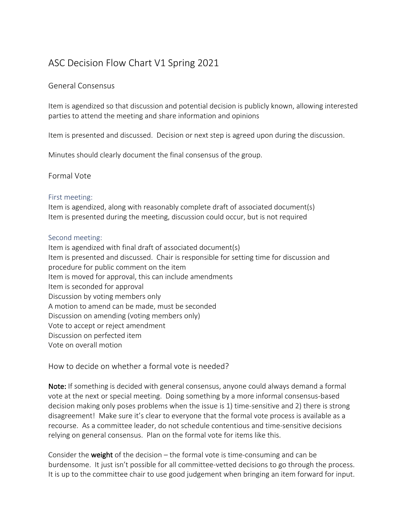## ASC Decision Flow Chart V1 Spring 2021

## General Consensus

Item is agendized so that discussion and potential decision is publicly known, allowing interested parties to attend the meeting and share information and opinions

Item is presented and discussed. Decision or next step is agreed upon during the discussion.

Minutes should clearly document the final consensus of the group.

Formal Vote

## First meeting:

Item is agendized, along with reasonably complete draft of associated document(s) Item is presented during the meeting, discussion could occur, but is not required

## Second meeting:

Item is agendized with final draft of associated document(s) Item is presented and discussed. Chair is responsible for setting time for discussion and procedure for public comment on the item Item is moved for approval, this can include amendments Item is seconded for approval Discussion by voting members only A motion to amend can be made, must be seconded Discussion on amending (voting members only) Vote to accept or reject amendment Discussion on perfected item Vote on overall motion

How to decide on whether a formal vote is needed?

Note: If something is decided with general consensus, anyone could always demand a formal vote at the next or special meeting. Doing something by a more informal consensus-based decision making only poses problems when the issue is 1) time-sensitive and 2) there is strong disagreement! Make sure it's clear to everyone that the formal vote process is available as a recourse. As a committee leader, do not schedule contentious and time-sensitive decisions relying on general consensus. Plan on the formal vote for items like this.

Consider the **weight** of the decision – the formal vote is time-consuming and can be burdensome. It just isn't possible for all committee-vetted decisions to go through the process. It is up to the committee chair to use good judgement when bringing an item forward for input.